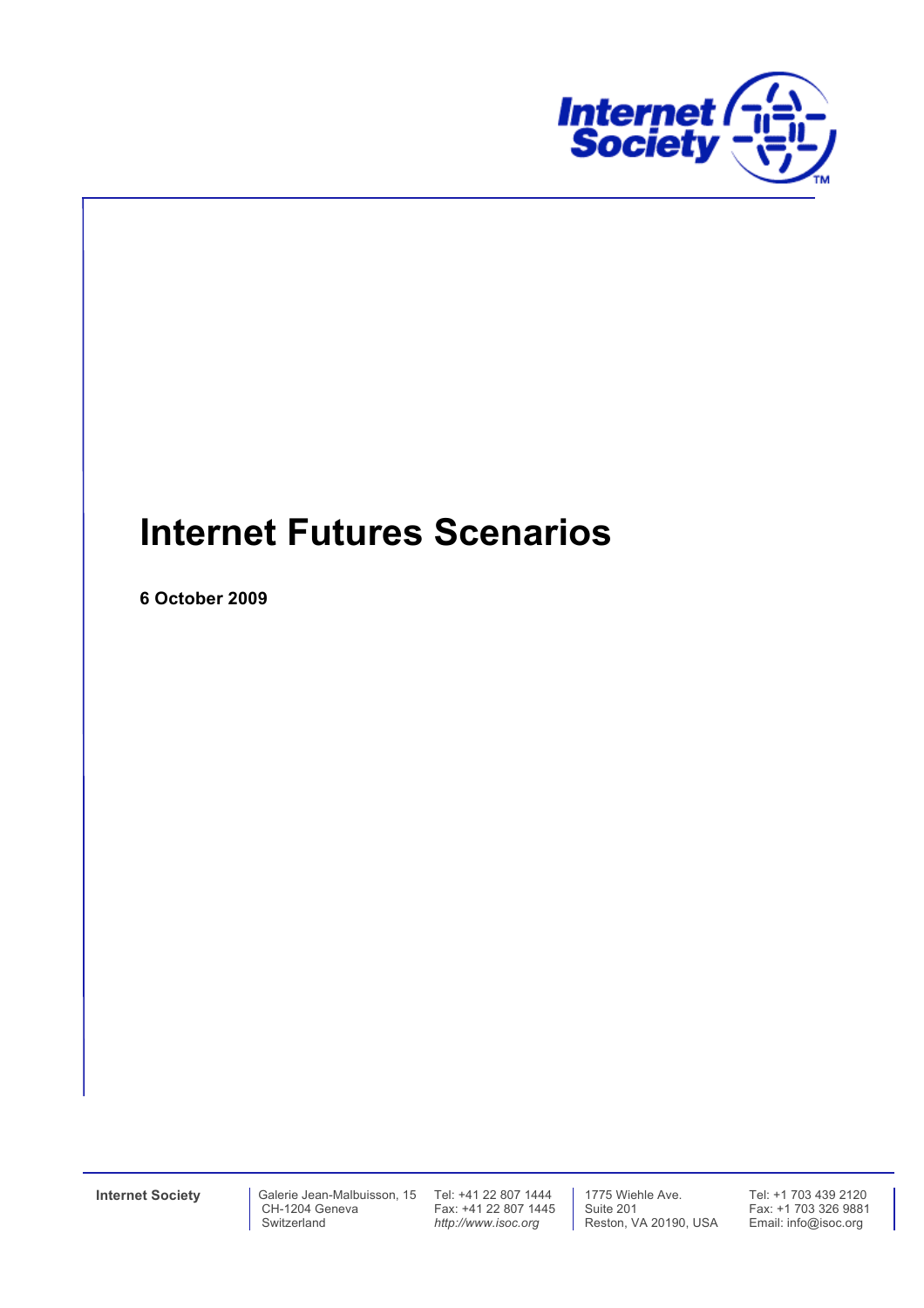

# **Internet Futures Scenarios**

**6 October 2009**

Fax: +41 22 807 1445 *http://www.isoc.org*

 1775 Wiehle Ave. Suite 201 Reston, VA 20190, USA Tel: +1 703 439 2120 Fax: +1 703 326 9881 Email: info@isoc.org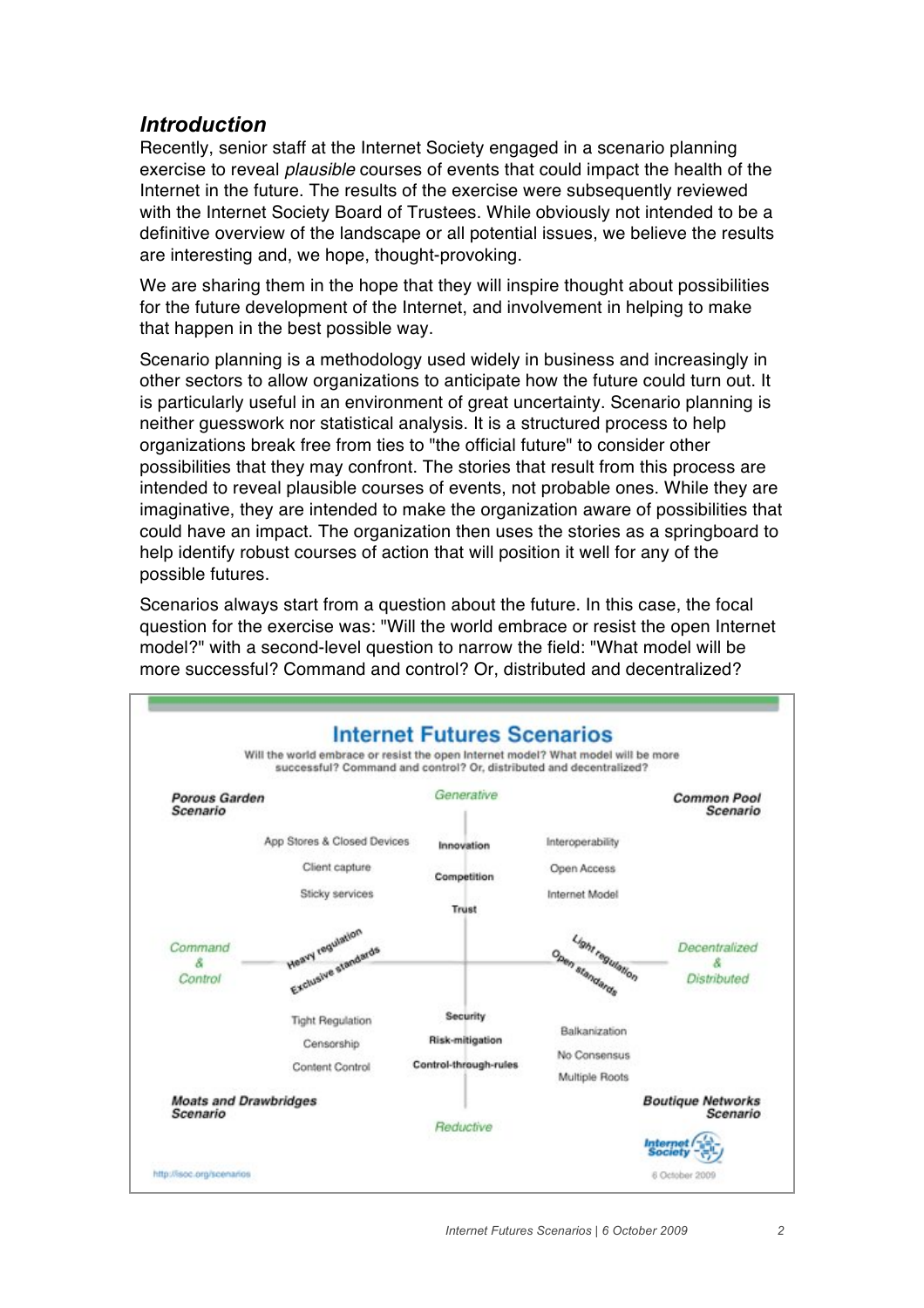# *Introduction*

Recently, senior staff at the Internet Society engaged in a scenario planning exercise to reveal *plausible* courses of events that could impact the health of the Internet in the future. The results of the exercise were subsequently reviewed with the Internet Society Board of Trustees. While obviously not intended to be a definitive overview of the landscape or all potential issues, we believe the results are interesting and, we hope, thought-provoking.

We are sharing them in the hope that they will inspire thought about possibilities for the future development of the Internet, and involvement in helping to make that happen in the best possible way.

Scenario planning is a methodology used widely in business and increasingly in other sectors to allow organizations to anticipate how the future could turn out. It is particularly useful in an environment of great uncertainty. Scenario planning is neither guesswork nor statistical analysis. It is a structured process to help organizations break free from ties to "the official future" to consider other possibilities that they may confront. The stories that result from this process are intended to reveal plausible courses of events, not probable ones. While they are imaginative, they are intended to make the organization aware of possibilities that could have an impact. The organization then uses the stories as a springboard to help identify robust courses of action that will position it well for any of the possible futures.

Scenarios always start from a question about the future. In this case, the focal question for the exercise was: "Will the world embrace or resist the open Internet model?" with a second-level question to narrow the field: "What model will be more successful? Command and control? Or, distributed and decentralized?

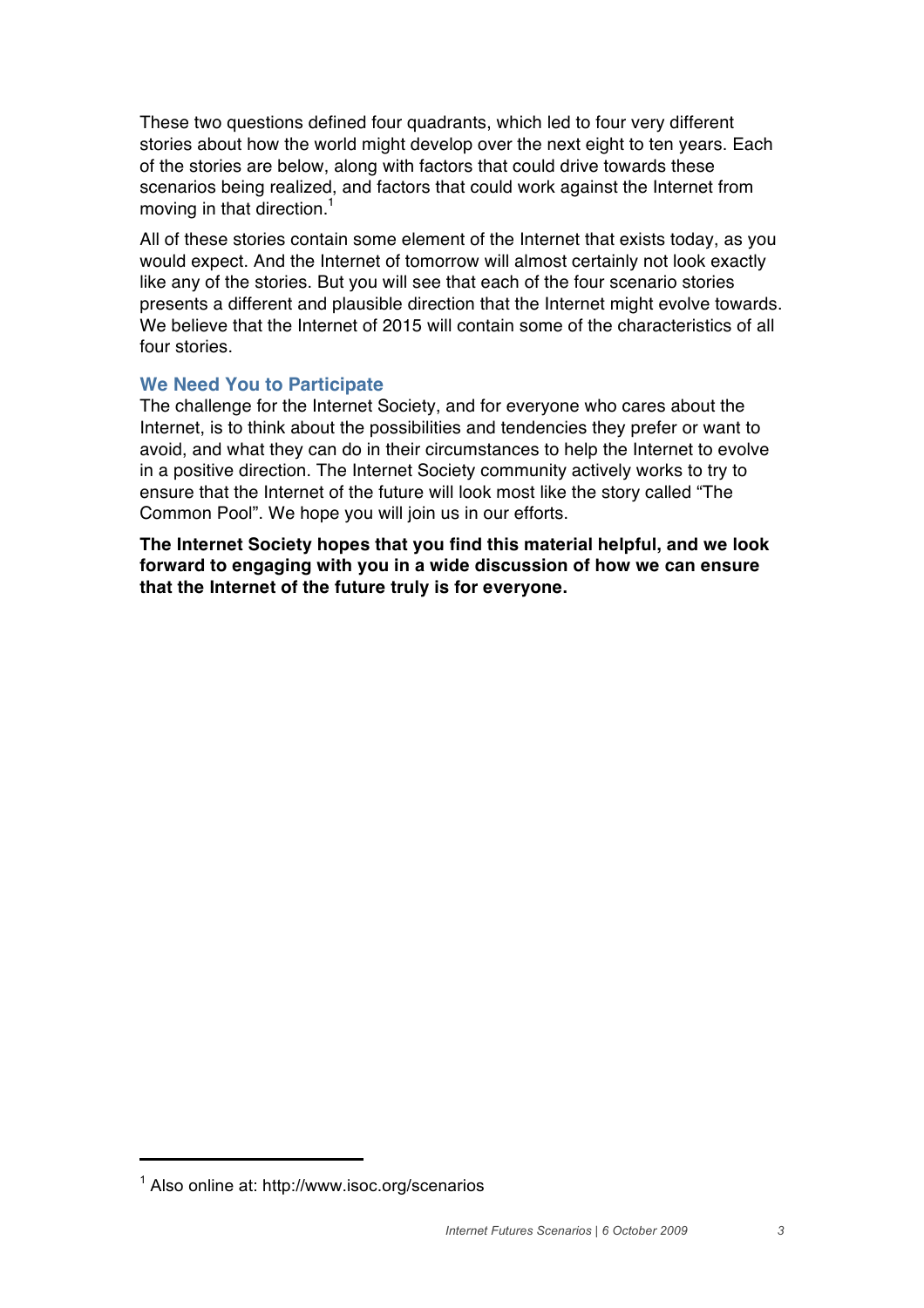These two questions defined four quadrants, which led to four very different stories about how the world might develop over the next eight to ten years. Each of the stories are below, along with factors that could drive towards these scenarios being realized, and factors that could work against the Internet from moving in that direction.<sup>1</sup>

All of these stories contain some element of the Internet that exists today, as you would expect. And the Internet of tomorrow will almost certainly not look exactly like any of the stories. But you will see that each of the four scenario stories presents a different and plausible direction that the Internet might evolve towards. We believe that the Internet of 2015 will contain some of the characteristics of all four stories.

## **We Need You to Participate**

The challenge for the Internet Society, and for everyone who cares about the Internet, is to think about the possibilities and tendencies they prefer or want to avoid, and what they can do in their circumstances to help the Internet to evolve in a positive direction. The Internet Society community actively works to try to ensure that the Internet of the future will look most like the story called "The Common Pool". We hope you will join us in our efforts.

**The Internet Society hopes that you find this material helpful, and we look forward to engaging with you in a wide discussion of how we can ensure that the Internet of the future truly is for everyone.**

**!!!!!!!!!!!!!!!!!!!!!!!!!!!!!!!!!!!!!!!!**

<sup>&</sup>lt;sup>1</sup> Also online at: http://www.isoc.org/scenarios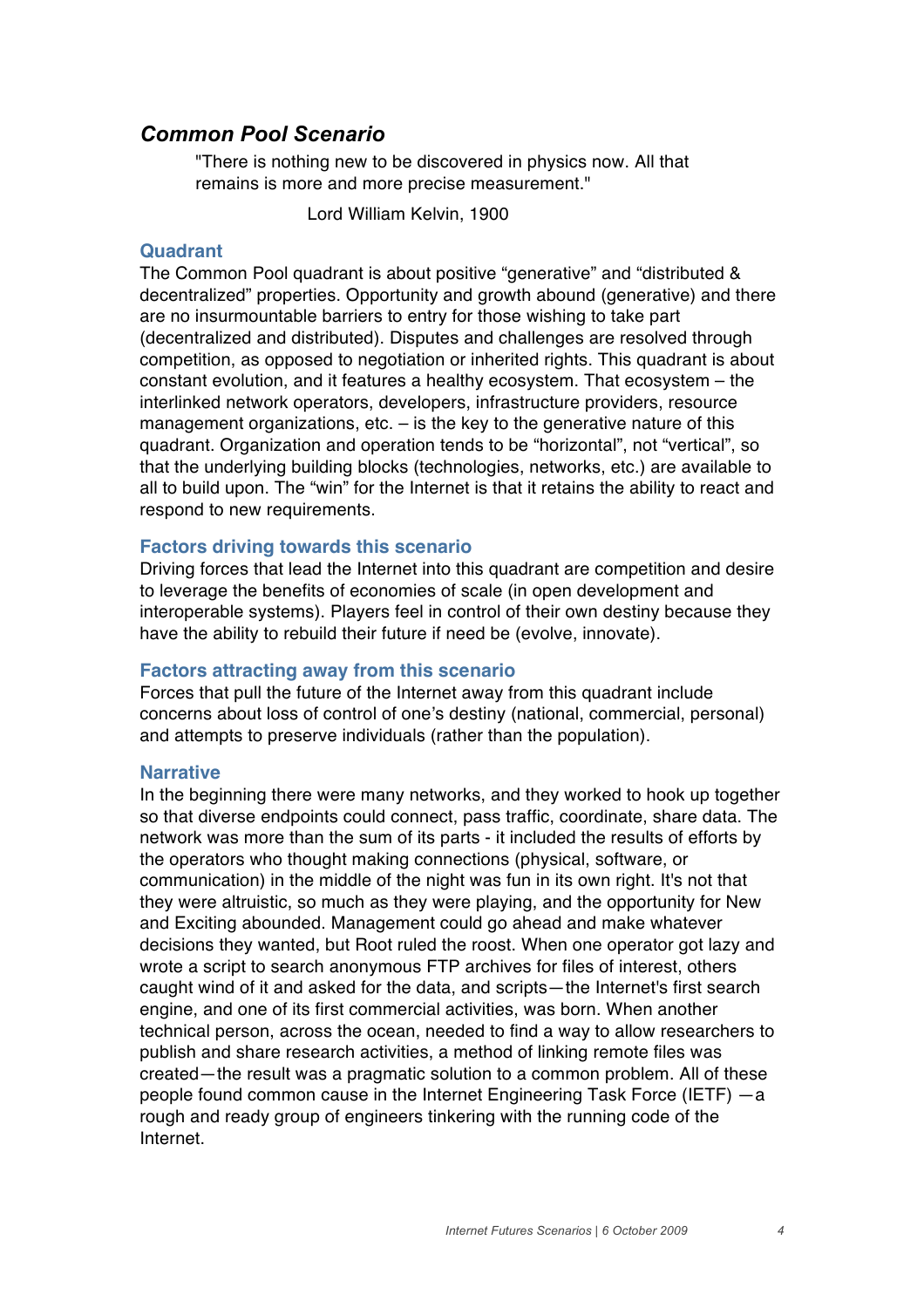# *Common Pool Scenario*

"There is nothing new to be discovered in physics now. All that remains is more and more precise measurement."

Lord William Kelvin, 1900

#### **Quadrant**

The Common Pool quadrant is about positive "generative" and "distributed & decentralized" properties. Opportunity and growth abound (generative) and there are no insurmountable barriers to entry for those wishing to take part (decentralized and distributed). Disputes and challenges are resolved through competition, as opposed to negotiation or inherited rights. This quadrant is about constant evolution, and it features a healthy ecosystem. That ecosystem – the interlinked network operators, developers, infrastructure providers, resource management organizations, etc. – is the key to the generative nature of this quadrant. Organization and operation tends to be "horizontal", not "vertical", so that the underlying building blocks (technologies, networks, etc.) are available to all to build upon. The "win" for the Internet is that it retains the ability to react and respond to new requirements.

## **Factors driving towards this scenario**

Driving forces that lead the Internet into this quadrant are competition and desire to leverage the benefits of economies of scale (in open development and interoperable systems). Players feel in control of their own destiny because they have the ability to rebuild their future if need be (evolve, innovate).

## **Factors attracting away from this scenario**

Forces that pull the future of the Internet away from this quadrant include concerns about loss of control of one's destiny (national, commercial, personal) and attempts to preserve individuals (rather than the population).

#### **Narrative**

In the beginning there were many networks, and they worked to hook up together so that diverse endpoints could connect, pass traffic, coordinate, share data. The network was more than the sum of its parts - it included the results of efforts by the operators who thought making connections (physical, software, or communication) in the middle of the night was fun in its own right. It's not that they were altruistic, so much as they were playing, and the opportunity for New and Exciting abounded. Management could go ahead and make whatever decisions they wanted, but Root ruled the roost. When one operator got lazy and wrote a script to search anonymous FTP archives for files of interest, others caught wind of it and asked for the data, and scripts—the Internet's first search engine, and one of its first commercial activities, was born. When another technical person, across the ocean, needed to find a way to allow researchers to publish and share research activities, a method of linking remote files was created—the result was a pragmatic solution to a common problem. All of these people found common cause in the Internet Engineering Task Force (IETF) —a rough and ready group of engineers tinkering with the running code of the Internet.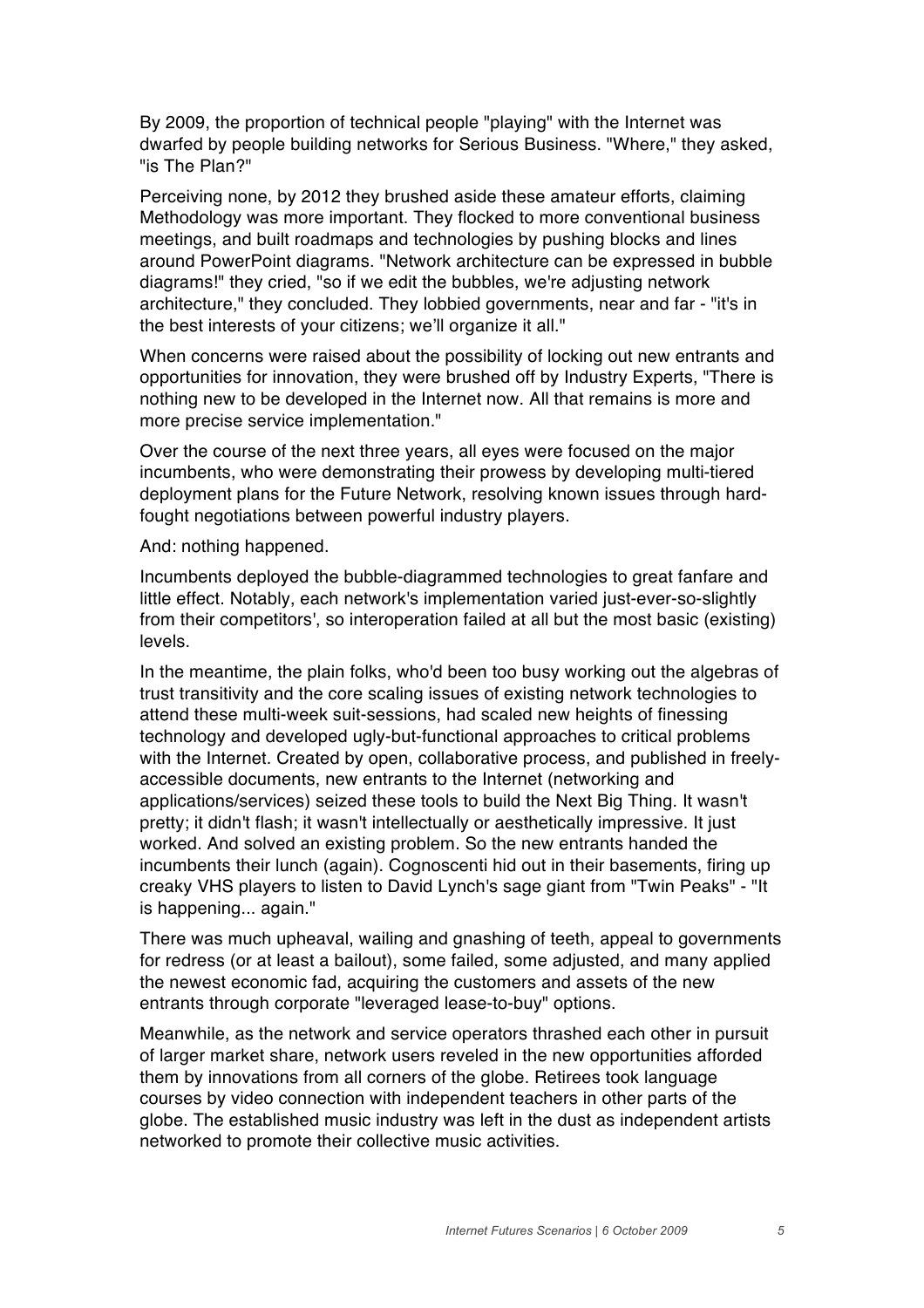By 2009, the proportion of technical people "playing" with the Internet was dwarfed by people building networks for Serious Business. "Where," they asked, "is The Plan?"

Perceiving none, by 2012 they brushed aside these amateur efforts, claiming Methodology was more important. They flocked to more conventional business meetings, and built roadmaps and technologies by pushing blocks and lines around PowerPoint diagrams. "Network architecture can be expressed in bubble diagrams!" they cried, "so if we edit the bubbles, we're adjusting network architecture," they concluded. They lobbied governments, near and far - "it's in the best interests of your citizens; we'll organize it all."

When concerns were raised about the possibility of locking out new entrants and opportunities for innovation, they were brushed off by Industry Experts, "There is nothing new to be developed in the Internet now. All that remains is more and more precise service implementation."

Over the course of the next three years, all eyes were focused on the major incumbents, who were demonstrating their prowess by developing multi-tiered deployment plans for the Future Network, resolving known issues through hardfought negotiations between powerful industry players.

And: nothing happened.

Incumbents deployed the bubble-diagrammed technologies to great fanfare and little effect. Notably, each network's implementation varied just-ever-so-slightly from their competitors', so interoperation failed at all but the most basic (existing) levels.

In the meantime, the plain folks, who'd been too busy working out the algebras of trust transitivity and the core scaling issues of existing network technologies to attend these multi-week suit-sessions, had scaled new heights of finessing technology and developed ugly-but-functional approaches to critical problems with the Internet. Created by open, collaborative process, and published in freelyaccessible documents, new entrants to the Internet (networking and applications/services) seized these tools to build the Next Big Thing. It wasn't pretty; it didn't flash; it wasn't intellectually or aesthetically impressive. It just worked. And solved an existing problem. So the new entrants handed the incumbents their lunch (again). Cognoscenti hid out in their basements, firing up creaky VHS players to listen to David Lynch's sage giant from "Twin Peaks" - "It is happening... again."

There was much upheaval, wailing and gnashing of teeth, appeal to governments for redress (or at least a bailout), some failed, some adjusted, and many applied the newest economic fad, acquiring the customers and assets of the new entrants through corporate "leveraged lease-to-buy" options.

Meanwhile, as the network and service operators thrashed each other in pursuit of larger market share, network users reveled in the new opportunities afforded them by innovations from all corners of the globe. Retirees took language courses by video connection with independent teachers in other parts of the globe. The established music industry was left in the dust as independent artists networked to promote their collective music activities.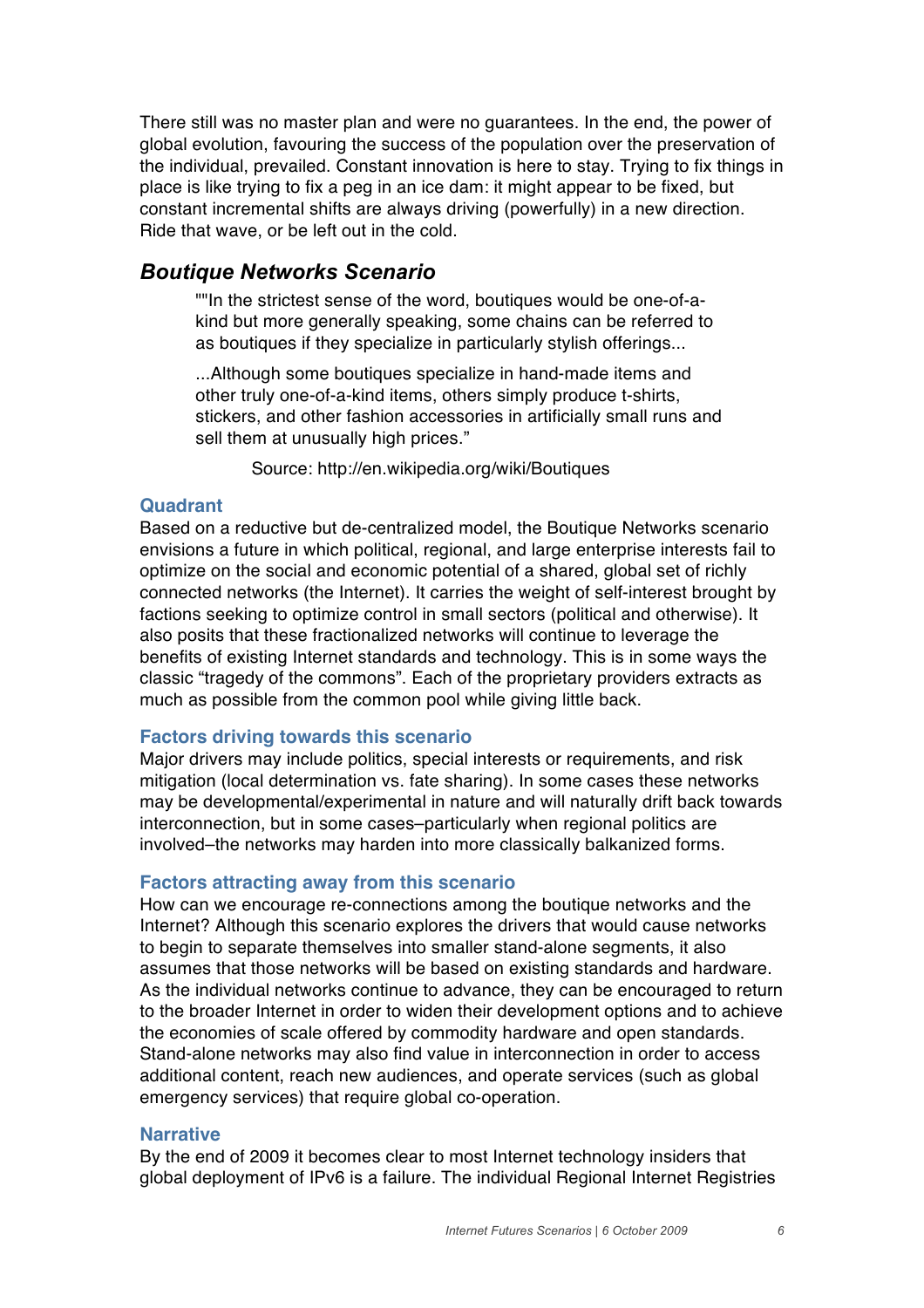There still was no master plan and were no guarantees. In the end, the power of global evolution, favouring the success of the population over the preservation of the individual, prevailed. Constant innovation is here to stay. Trying to fix things in place is like trying to fix a peg in an ice dam: it might appear to be fixed, but constant incremental shifts are always driving (powerfully) in a new direction. Ride that wave, or be left out in the cold.

## *Boutique Networks Scenario*

""In the strictest sense of the word, boutiques would be one-of-akind but more generally speaking, some chains can be referred to as boutiques if they specialize in particularly stylish offerings...

...Although some boutiques specialize in hand-made items and other truly one-of-a-kind items, others simply produce t-shirts, stickers, and other fashion accessories in artificially small runs and sell them at unusually high prices."

Source: http://en.wikipedia.org/wiki/Boutiques

## **Quadrant**

Based on a reductive but de-centralized model, the Boutique Networks scenario envisions a future in which political, regional, and large enterprise interests fail to optimize on the social and economic potential of a shared, global set of richly connected networks (the Internet). It carries the weight of self-interest brought by factions seeking to optimize control in small sectors (political and otherwise). It also posits that these fractionalized networks will continue to leverage the benefits of existing Internet standards and technology. This is in some ways the classic "tragedy of the commons". Each of the proprietary providers extracts as much as possible from the common pool while giving little back.

## **Factors driving towards this scenario**

Major drivers may include politics, special interests or requirements, and risk mitigation (local determination vs. fate sharing). In some cases these networks may be developmental/experimental in nature and will naturally drift back towards interconnection, but in some cases–particularly when regional politics are involved–the networks may harden into more classically balkanized forms.

## **Factors attracting away from this scenario**

How can we encourage re-connections among the boutique networks and the Internet? Although this scenario explores the drivers that would cause networks to begin to separate themselves into smaller stand-alone segments, it also assumes that those networks will be based on existing standards and hardware. As the individual networks continue to advance, they can be encouraged to return to the broader Internet in order to widen their development options and to achieve the economies of scale offered by commodity hardware and open standards. Stand-alone networks may also find value in interconnection in order to access additional content, reach new audiences, and operate services (such as global emergency services) that require global co-operation.

## **Narrative**

By the end of 2009 it becomes clear to most Internet technology insiders that global deployment of IPv6 is a failure. The individual Regional Internet Registries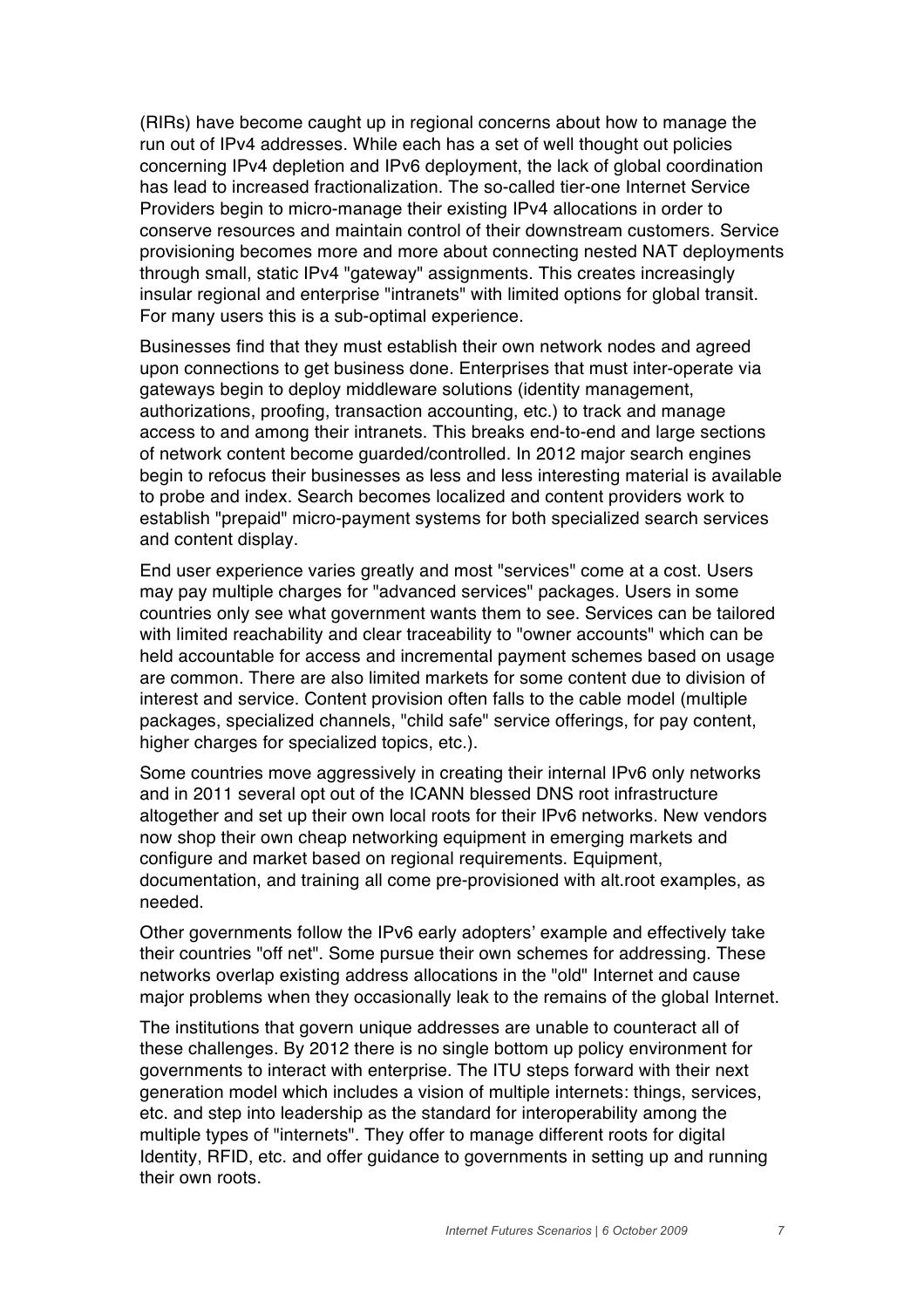(RIRs) have become caught up in regional concerns about how to manage the run out of IPv4 addresses. While each has a set of well thought out policies concerning IPv4 depletion and IPv6 deployment, the lack of global coordination has lead to increased fractionalization. The so-called tier-one Internet Service Providers begin to micro-manage their existing IPv4 allocations in order to conserve resources and maintain control of their downstream customers. Service provisioning becomes more and more about connecting nested NAT deployments through small, static IPv4 "gateway" assignments. This creates increasingly insular regional and enterprise "intranets" with limited options for global transit. For many users this is a sub-optimal experience.

Businesses find that they must establish their own network nodes and agreed upon connections to get business done. Enterprises that must inter-operate via gateways begin to deploy middleware solutions (identity management, authorizations, proofing, transaction accounting, etc.) to track and manage access to and among their intranets. This breaks end-to-end and large sections of network content become guarded/controlled. In 2012 major search engines begin to refocus their businesses as less and less interesting material is available to probe and index. Search becomes localized and content providers work to establish "prepaid" micro-payment systems for both specialized search services and content display.

End user experience varies greatly and most "services" come at a cost. Users may pay multiple charges for "advanced services" packages. Users in some countries only see what government wants them to see. Services can be tailored with limited reachability and clear traceability to "owner accounts" which can be held accountable for access and incremental payment schemes based on usage are common. There are also limited markets for some content due to division of interest and service. Content provision often falls to the cable model (multiple packages, specialized channels, "child safe" service offerings, for pay content, higher charges for specialized topics, etc.).

Some countries move aggressively in creating their internal IPv6 only networks and in 2011 several opt out of the ICANN blessed DNS root infrastructure altogether and set up their own local roots for their IPv6 networks. New vendors now shop their own cheap networking equipment in emerging markets and configure and market based on regional requirements. Equipment, documentation, and training all come pre-provisioned with alt.root examples, as needed.

Other governments follow the IPv6 early adopters' example and effectively take their countries "off net". Some pursue their own schemes for addressing. These networks overlap existing address allocations in the "old" Internet and cause major problems when they occasionally leak to the remains of the global Internet.

The institutions that govern unique addresses are unable to counteract all of these challenges. By 2012 there is no single bottom up policy environment for governments to interact with enterprise. The ITU steps forward with their next generation model which includes a vision of multiple internets: things, services, etc. and step into leadership as the standard for interoperability among the multiple types of "internets". They offer to manage different roots for digital Identity, RFID, etc. and offer guidance to governments in setting up and running their own roots.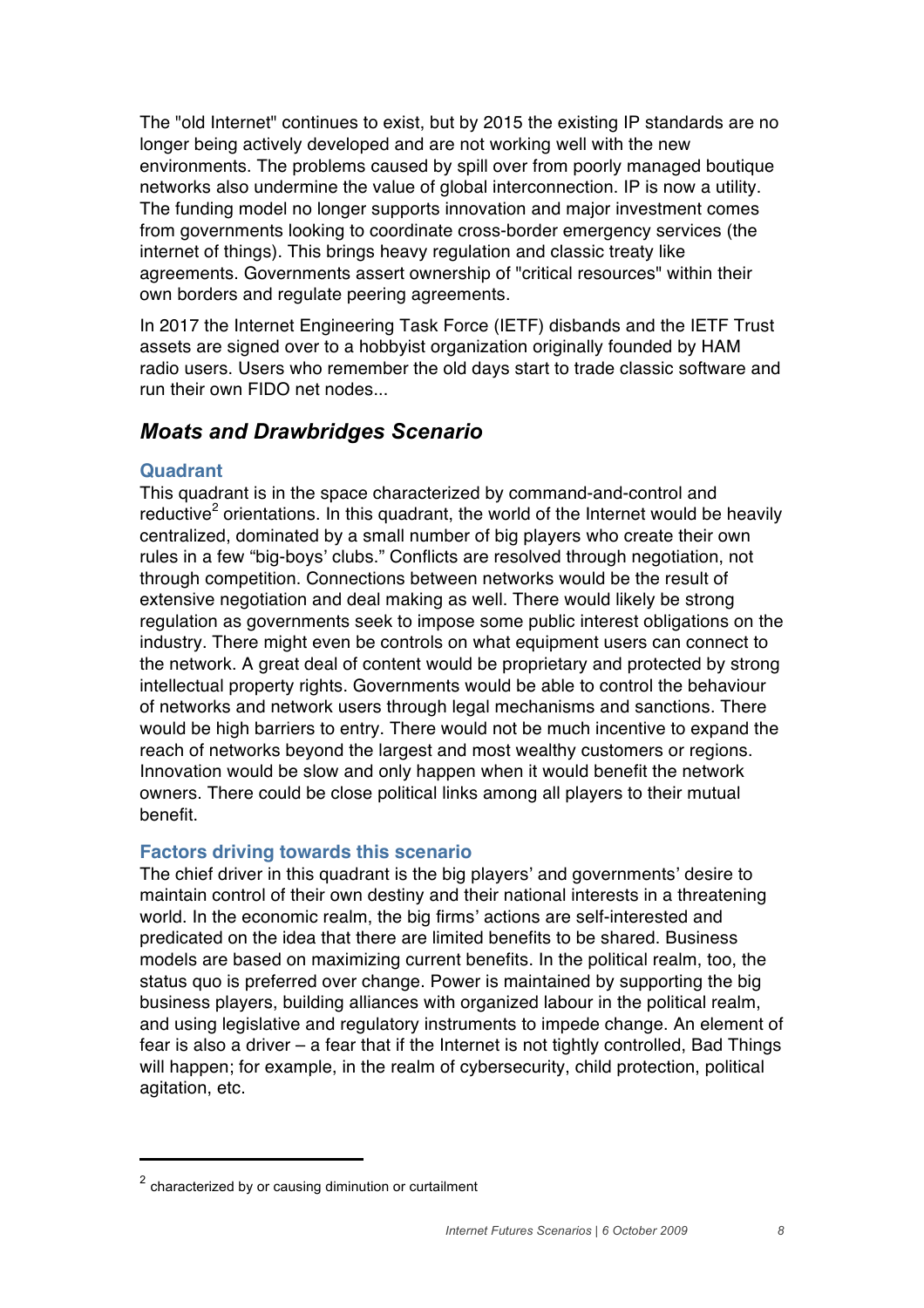The "old Internet" continues to exist, but by 2015 the existing IP standards are no longer being actively developed and are not working well with the new environments. The problems caused by spill over from poorly managed boutique networks also undermine the value of global interconnection. IP is now a utility. The funding model no longer supports innovation and major investment comes from governments looking to coordinate cross-border emergency services (the internet of things). This brings heavy regulation and classic treaty like agreements. Governments assert ownership of "critical resources" within their own borders and regulate peering agreements.

In 2017 the Internet Engineering Task Force (IETF) disbands and the IETF Trust assets are signed over to a hobbyist organization originally founded by HAM radio users. Users who remember the old days start to trade classic software and run their own FIDO net nodes...

## *Moats and Drawbridges Scenario*

## **Quadrant**

This quadrant is in the space characterized by command-and-control and reductive<sup>2</sup> orientations. In this quadrant, the world of the Internet would be heavily centralized, dominated by a small number of big players who create their own rules in a few "big-boys' clubs." Conflicts are resolved through negotiation, not through competition. Connections between networks would be the result of extensive negotiation and deal making as well. There would likely be strong regulation as governments seek to impose some public interest obligations on the industry. There might even be controls on what equipment users can connect to the network. A great deal of content would be proprietary and protected by strong intellectual property rights. Governments would be able to control the behaviour of networks and network users through legal mechanisms and sanctions. There would be high barriers to entry. There would not be much incentive to expand the reach of networks beyond the largest and most wealthy customers or regions. Innovation would be slow and only happen when it would benefit the network owners. There could be close political links among all players to their mutual benefit.

## **Factors driving towards this scenario**

The chief driver in this quadrant is the big players' and governments' desire to maintain control of their own destiny and their national interests in a threatening world. In the economic realm, the big firms' actions are self-interested and predicated on the idea that there are limited benefits to be shared. Business models are based on maximizing current benefits. In the political realm, too, the status quo is preferred over change. Power is maintained by supporting the big business players, building alliances with organized labour in the political realm, and using legislative and regulatory instruments to impede change. An element of fear is also a driver – a fear that if the Internet is not tightly controlled, Bad Things will happen; for example, in the realm of cybersecurity, child protection, political agitation, etc.

**!!!!!!!!!!!!!!!!!!!!!!!!!!!!!!!!!!!!!!!!**

 $2$  characterized by or causing diminution or curtailment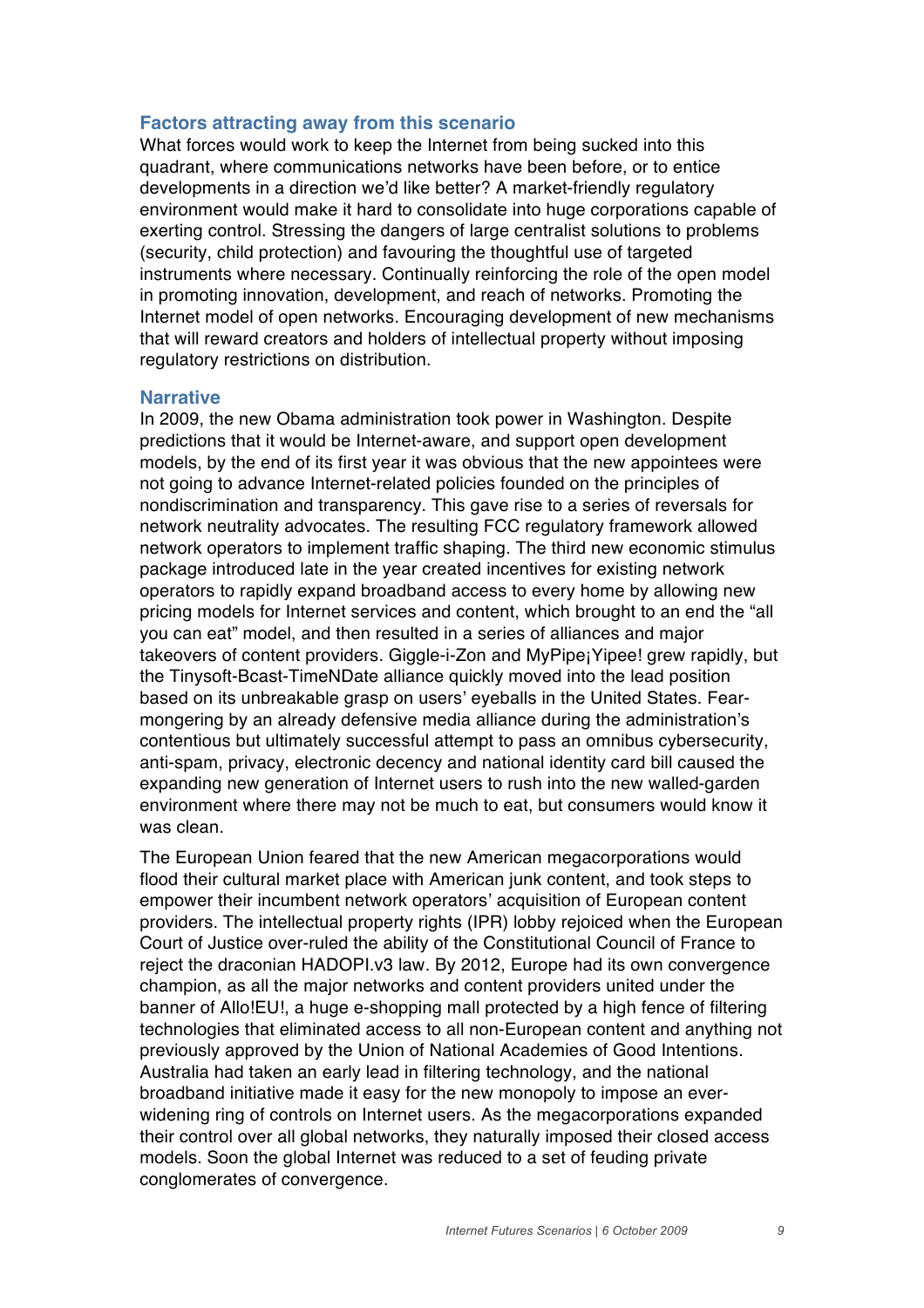## **Factors attracting away from this scenario**

What forces would work to keep the Internet from being sucked into this quadrant, where communications networks have been before, or to entice developments in a direction we'd like better? A market-friendly regulatory environment would make it hard to consolidate into huge corporations capable of exerting control. Stressing the dangers of large centralist solutions to problems (security, child protection) and favouring the thoughtful use of targeted instruments where necessary. Continually reinforcing the role of the open model in promoting innovation, development, and reach of networks. Promoting the Internet model of open networks. Encouraging development of new mechanisms that will reward creators and holders of intellectual property without imposing regulatory restrictions on distribution.

#### **Narrative**

In 2009, the new Obama administration took power in Washington. Despite predictions that it would be Internet-aware, and support open development models, by the end of its first year it was obvious that the new appointees were not going to advance Internet-related policies founded on the principles of nondiscrimination and transparency. This gave rise to a series of reversals for network neutrality advocates. The resulting FCC regulatory framework allowed network operators to implement traffic shaping. The third new economic stimulus package introduced late in the year created incentives for existing network operators to rapidly expand broadband access to every home by allowing new pricing models for Internet services and content, which brought to an end the "all you can eat" model, and then resulted in a series of alliances and major takeovers of content providers. Giggle-i-Zon and MyPipe¡Yipee! grew rapidly, but the Tinysoft-Bcast-TimeNDate alliance quickly moved into the lead position based on its unbreakable grasp on users' eyeballs in the United States. Fearmongering by an already defensive media alliance during the administration's contentious but ultimately successful attempt to pass an omnibus cybersecurity, anti-spam, privacy, electronic decency and national identity card bill caused the expanding new generation of Internet users to rush into the new walled-garden environment where there may not be much to eat, but consumers would know it was clean.

The European Union feared that the new American megacorporations would flood their cultural market place with American junk content, and took steps to empower their incumbent network operators' acquisition of European content providers. The intellectual property rights (IPR) lobby rejoiced when the European Court of Justice over-ruled the ability of the Constitutional Council of France to reject the draconian HADOPI.v3 law. By 2012, Europe had its own convergence champion, as all the major networks and content providers united under the banner of Allo!EU!, a huge e-shopping mall protected by a high fence of filtering technologies that eliminated access to all non-European content and anything not previously approved by the Union of National Academies of Good Intentions. Australia had taken an early lead in filtering technology, and the national broadband initiative made it easy for the new monopoly to impose an everwidening ring of controls on Internet users. As the megacorporations expanded their control over all global networks, they naturally imposed their closed access models. Soon the global Internet was reduced to a set of feuding private conglomerates of convergence.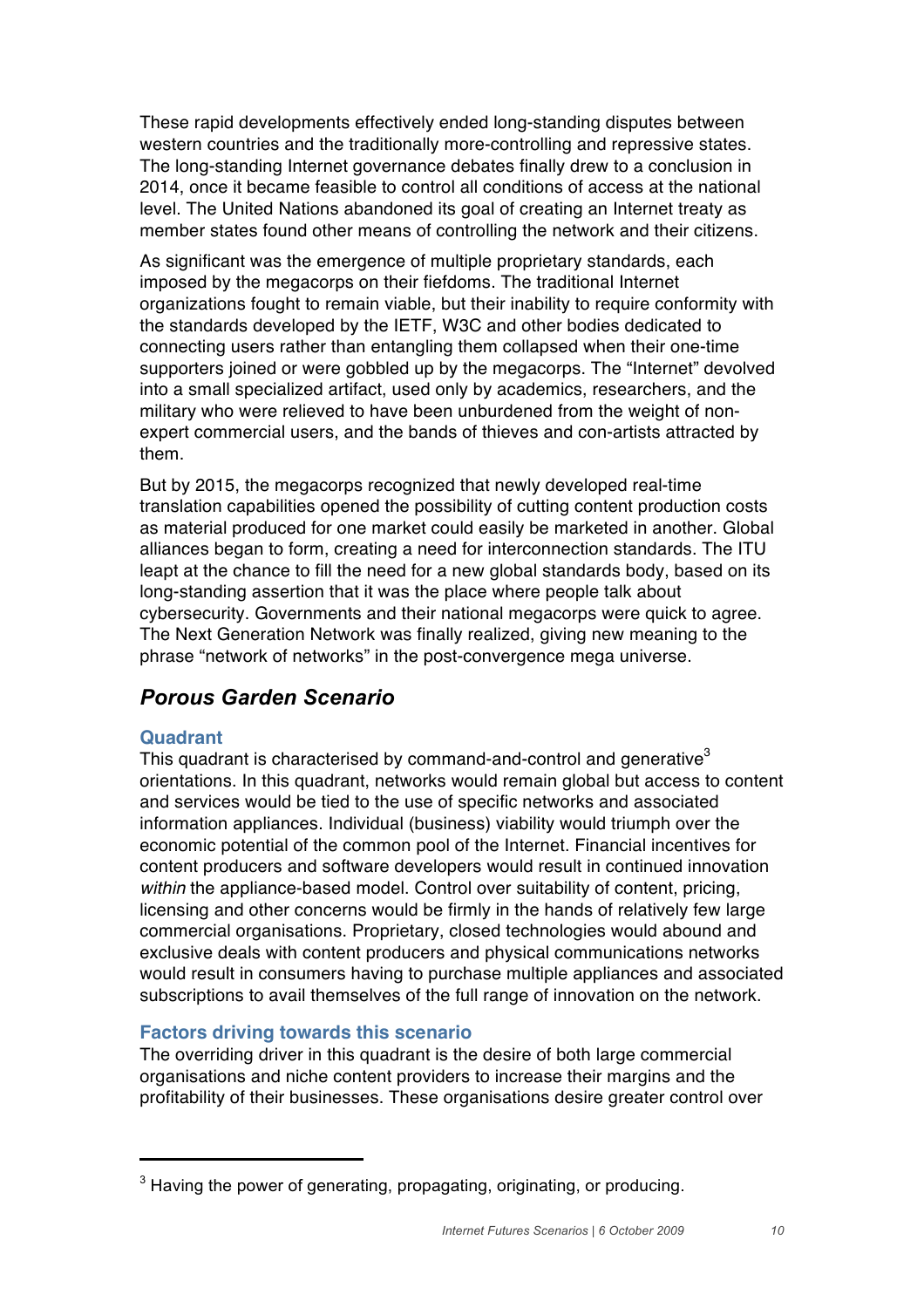These rapid developments effectively ended long-standing disputes between western countries and the traditionally more-controlling and repressive states. The long-standing Internet governance debates finally drew to a conclusion in 2014, once it became feasible to control all conditions of access at the national level. The United Nations abandoned its goal of creating an Internet treaty as member states found other means of controlling the network and their citizens.

As significant was the emergence of multiple proprietary standards, each imposed by the megacorps on their fiefdoms. The traditional Internet organizations fought to remain viable, but their inability to require conformity with the standards developed by the IETF, W3C and other bodies dedicated to connecting users rather than entangling them collapsed when their one-time supporters joined or were gobbled up by the megacorps. The "Internet" devolved into a small specialized artifact, used only by academics, researchers, and the military who were relieved to have been unburdened from the weight of nonexpert commercial users, and the bands of thieves and con-artists attracted by them.

But by 2015, the megacorps recognized that newly developed real-time translation capabilities opened the possibility of cutting content production costs as material produced for one market could easily be marketed in another. Global alliances began to form, creating a need for interconnection standards. The ITU leapt at the chance to fill the need for a new global standards body, based on its long-standing assertion that it was the place where people talk about cybersecurity. Governments and their national megacorps were quick to agree. The Next Generation Network was finally realized, giving new meaning to the phrase "network of networks" in the post-convergence mega universe.

# *Porous Garden Scenario*

## **Quadrant**

This quadrant is characterised by command-and-control and generative<sup>3</sup> orientations. In this quadrant, networks would remain global but access to content and services would be tied to the use of specific networks and associated information appliances. Individual (business) viability would triumph over the economic potential of the common pool of the Internet. Financial incentives for content producers and software developers would result in continued innovation *within* the appliance-based model. Control over suitability of content, pricing, licensing and other concerns would be firmly in the hands of relatively few large commercial organisations. Proprietary, closed technologies would abound and exclusive deals with content producers and physical communications networks would result in consumers having to purchase multiple appliances and associated subscriptions to avail themselves of the full range of innovation on the network.

## **Factors driving towards this scenario**

**!!!!!!!!!!!!!!!!!!!!!!!!!!!!!!!!!!!!!!!!**

The overriding driver in this quadrant is the desire of both large commercial organisations and niche content providers to increase their margins and the profitability of their businesses. These organisations desire greater control over

 $3$  Having the power of generating, propagating, originating, or producing,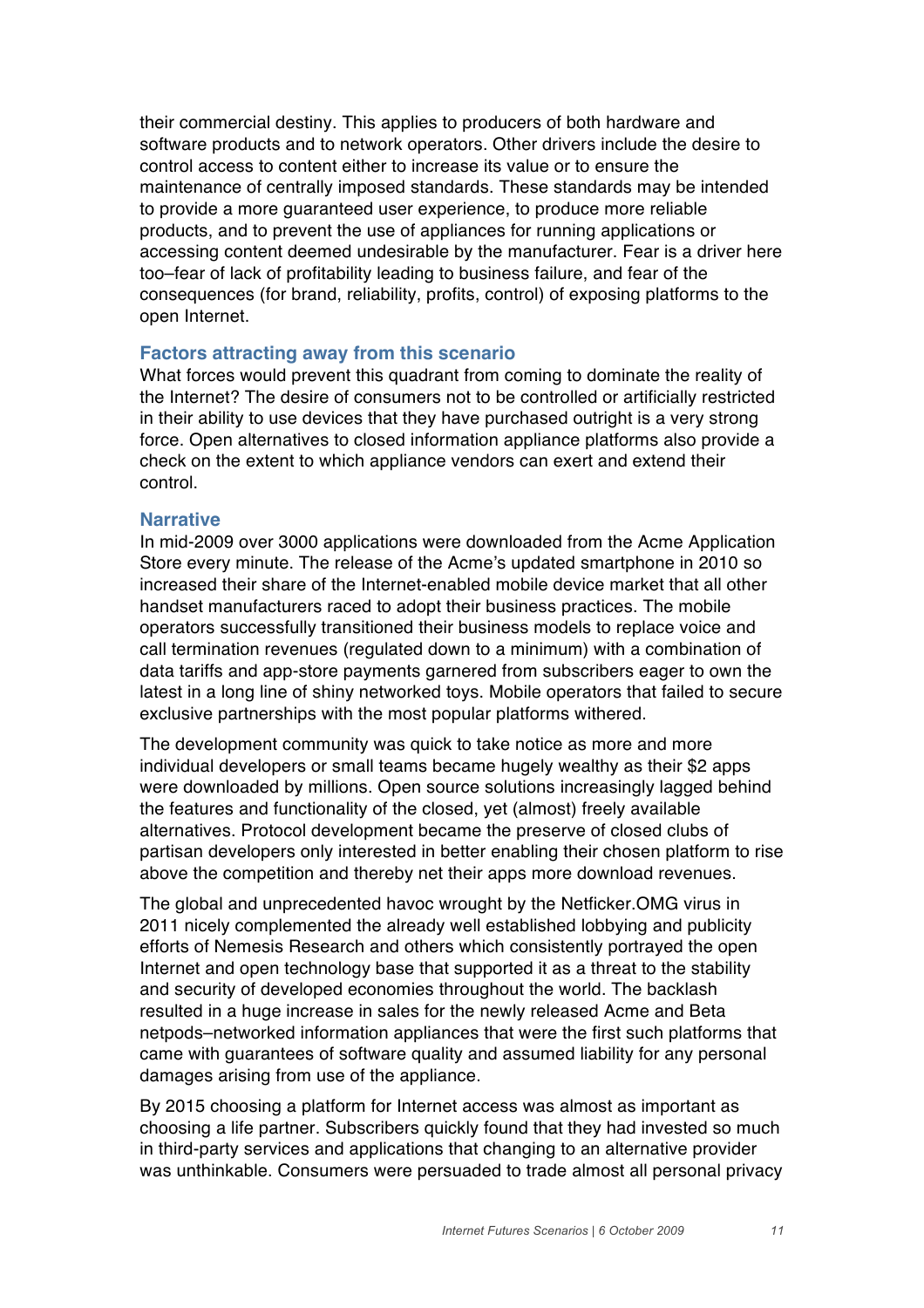their commercial destiny. This applies to producers of both hardware and software products and to network operators. Other drivers include the desire to control access to content either to increase its value or to ensure the maintenance of centrally imposed standards. These standards may be intended to provide a more guaranteed user experience, to produce more reliable products, and to prevent the use of appliances for running applications or accessing content deemed undesirable by the manufacturer. Fear is a driver here too–fear of lack of profitability leading to business failure, and fear of the consequences (for brand, reliability, profits, control) of exposing platforms to the open Internet.

#### **Factors attracting away from this scenario**

What forces would prevent this quadrant from coming to dominate the reality of the Internet? The desire of consumers not to be controlled or artificially restricted in their ability to use devices that they have purchased outright is a very strong force. Open alternatives to closed information appliance platforms also provide a check on the extent to which appliance vendors can exert and extend their control.

## **Narrative**

In mid-2009 over 3000 applications were downloaded from the Acme Application Store every minute. The release of the Acme's updated smartphone in 2010 so increased their share of the Internet-enabled mobile device market that all other handset manufacturers raced to adopt their business practices. The mobile operators successfully transitioned their business models to replace voice and call termination revenues (regulated down to a minimum) with a combination of data tariffs and app-store payments garnered from subscribers eager to own the latest in a long line of shiny networked toys. Mobile operators that failed to secure exclusive partnerships with the most popular platforms withered.

The development community was quick to take notice as more and more individual developers or small teams became hugely wealthy as their \$2 apps were downloaded by millions. Open source solutions increasingly lagged behind the features and functionality of the closed, yet (almost) freely available alternatives. Protocol development became the preserve of closed clubs of partisan developers only interested in better enabling their chosen platform to rise above the competition and thereby net their apps more download revenues.

The global and unprecedented havoc wrought by the Netficker.OMG virus in 2011 nicely complemented the already well established lobbying and publicity efforts of Nemesis Research and others which consistently portrayed the open Internet and open technology base that supported it as a threat to the stability and security of developed economies throughout the world. The backlash resulted in a huge increase in sales for the newly released Acme and Beta netpods–networked information appliances that were the first such platforms that came with guarantees of software quality and assumed liability for any personal damages arising from use of the appliance.

By 2015 choosing a platform for Internet access was almost as important as choosing a life partner. Subscribers quickly found that they had invested so much in third-party services and applications that changing to an alternative provider was unthinkable. Consumers were persuaded to trade almost all personal privacy